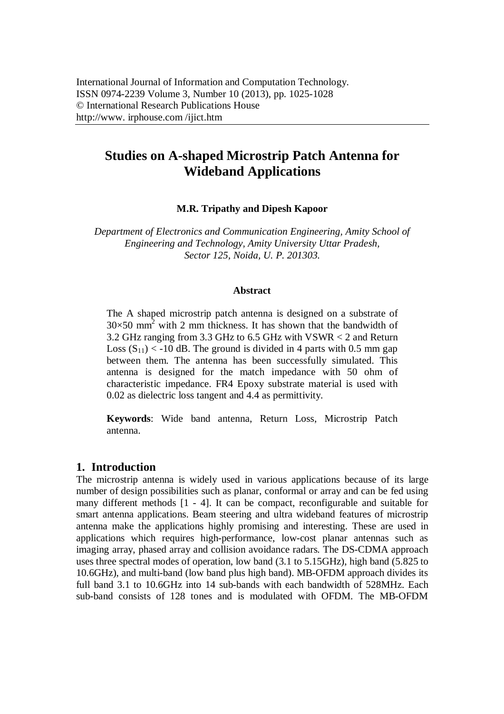# **Studies on A-shaped Microstrip Patch Antenna for Wideband Applications**

**M.R. Tripathy and Dipesh Kapoor**

*Department of Electronics and Communication Engineering, Amity School of Engineering and Technology, Amity University Uttar Pradesh, Sector 125, Noida, U. P. 201303.*

#### **Abstract**

The A shaped microstrip patch antenna is designed on a substrate of  $30\times50$  mm<sup>2</sup> with 2 mm thickness. It has shown that the bandwidth of 3.2 GHz ranging from 3.3 GHz to 6.5 GHz with VSWR < 2 and Return Loss  $(S_{11}) < -10$  dB. The ground is divided in 4 parts with 0.5 mm gap between them. The antenna has been successfully simulated. This antenna is designed for the match impedance with 50 ohm of characteristic impedance. FR4 Epoxy substrate material is used with 0.02 as dielectric loss tangent and 4.4 as permittivity.

**Keywords**: Wide band antenna, Return Loss, Microstrip Patch antenna.

### **1. Introduction**

The microstrip antenna is widely used in various applications because of its large number of design possibilities such as planar, conformal or array and can be fed using many different methods [1 - 4]. It can be compact, reconfigurable and suitable for smart antenna applications. Beam steering and ultra wideband features of microstrip antenna make the applications highly promising and interesting. These are used in applications which requires high-performance, low-cost planar antennas such as imaging array, phased array and collision avoidance radars. The DS-CDMA approach uses three spectral modes of operation, low band (3.1 to 5.15GHz), high band (5.825 to 10.6GHz), and multi-band (low band plus high band). MB-OFDM approach divides its full band 3.1 to 10.6GHz into 14 sub-bands with each bandwidth of 528MHz. Each sub-band consists of 128 tones and is modulated with OFDM. The MB-OFDM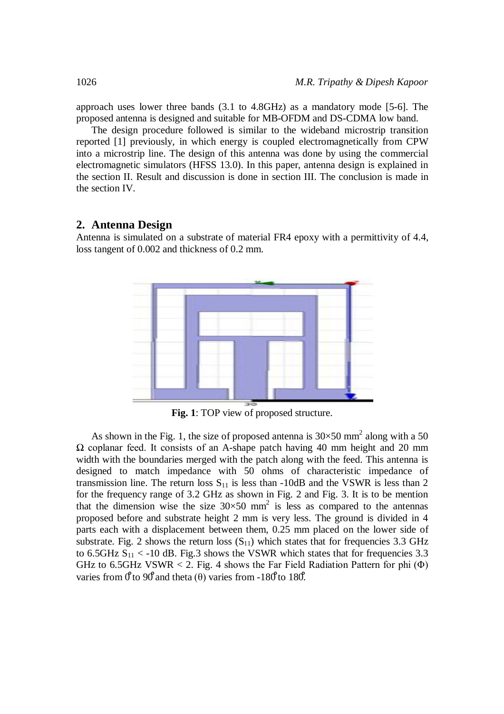approach uses lower three bands (3.1 to 4.8GHz) as a mandatory mode [5-6]. The proposed antenna is designed and suitable for MB-OFDM and DS-CDMA low band.

The design procedure followed is similar to the wideband microstrip transition reported [1] previously, in which energy is coupled electromagnetically from CPW into a microstrip line. The design of this antenna was done by using the commercial electromagnetic simulators (HFSS 13.0). In this paper, antenna design is explained in the section II. Result and discussion is done in section III. The conclusion is made in the section IV.

#### **2. Antenna Design**

Antenna is simulated on a substrate of material FR4 epoxy with a permittivity of 4.4, loss tangent of 0.002 and thickness of 0.2 mm.



**Fig. 1**: TOP view of proposed structure.

As shown in the Fig. 1, the size of proposed antenna is  $30 \times 50$  mm<sup>2</sup> along with a 50 Ω coplanar feed. It consists of an A-shape patch having 40 mm height and 20 mm width with the boundaries merged with the patch along with the feed. This antenna is designed to match impedance with 50 ohms of characteristic impedance of transmission line. The return loss  $S_{11}$  is less than -10dB and the VSWR is less than 2 for the frequency range of 3.2 GHz as shown in Fig. 2 and Fig. 3. It is to be mention that the dimension wise the size  $30 \times 50$  mm<sup>2</sup> is less as compared to the antennas proposed before and substrate height 2 mm is very less. The ground is divided in 4 parts each with a displacement between them, 0.25 mm placed on the lower side of substrate. Fig. 2 shows the return loss  $(S_{11})$  which states that for frequencies 3.3 GHz to 6.5GHz  $S_{11}$  < -10 dB. Fig.3 shows the VSWR which states that for frequencies 3.3 GHz to 6.5GHz VSWR < 2. Fig. 4 shows the Far Field Radiation Pattern for phi  $(\Phi)$ varies from  $0^{\circ}$  to 90° and theta ( $\theta$ ) varies from -180° to 180°.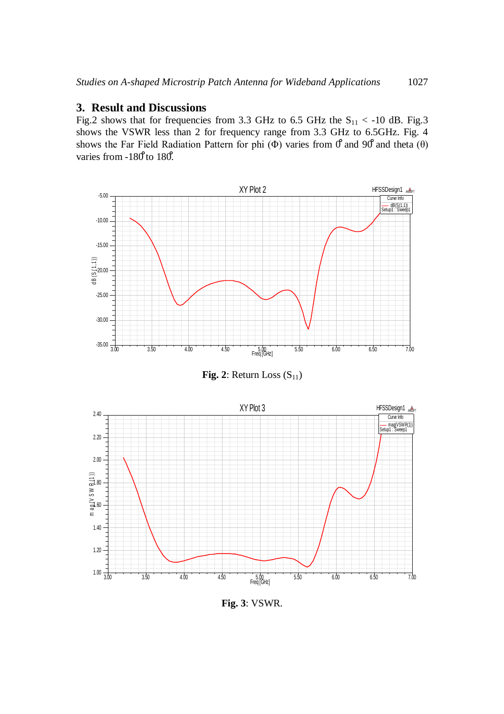#### **3. Result and Discussions**

Fig.2 shows that for frequencies from 3.3 GHz to 6.5 GHz the  $S_{11}$  < -10 dB. Fig.3 shows the VSWR less than 2 for frequency range from 3.3 GHz to 6.5GHz. Fig. 4 shows the Far Field Radiation Pattern for phi ( $\Phi$ ) varies from  $\theta$  and 90° and theta ( $\theta$ ) varies from -180<sup>°</sup> to 180<sup>°</sup>.



**Fig. 2**: Return Loss  $(S_{11})$ 



**Fig. 3**: VSWR.